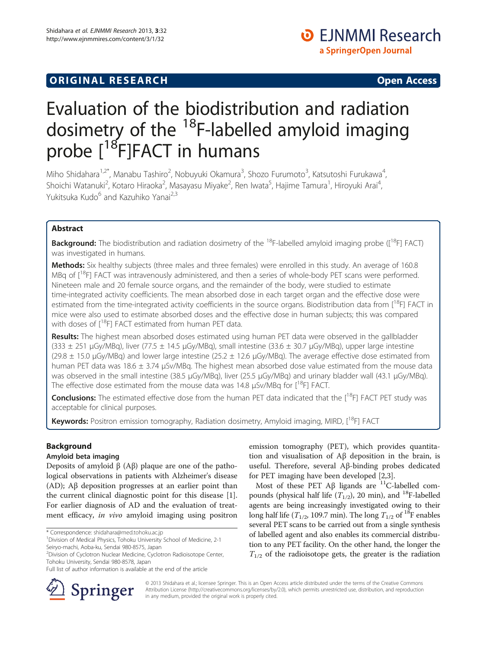## **ORIGINAL RESEARCH CONSUMING A RESEARCH CONSUMING A RESEARCH**

# Evaluation of the biodistribution and radiation dosimetry of the  $^{18}$ F-labelled amyloid imaging probe [<sup>18</sup>F]FACT in humans

Miho Shidahara<sup>1,2\*</sup>, Manabu Tashiro<sup>2</sup>, Nobuyuki Okamura<sup>3</sup>, Shozo Furumoto<sup>3</sup>, Katsutoshi Furukawa<sup>4</sup> , Shoichi Watanuki<sup>2</sup>, Kotaro Hiraoka<sup>2</sup>, Masayasu Miyake<sup>2</sup>, Ren Iwata<sup>5</sup>, Hajime Tamura<sup>1</sup>, Hiroyuki Arai<sup>4</sup> , Yukitsuka Kudo<sup>6</sup> and Kazuhiko Yanai<sup>2,3</sup>

#### Abstract

**Background:** The biodistribution and radiation dosimetry of the <sup>18</sup>F-labelled amyloid imaging probe ( $[{}^{18}F]$  FACT) was investigated in humans.

Methods: Six healthy subjects (three males and three females) were enrolled in this study. An average of 160.8 MBq of [<sup>18</sup>F] FACT was intravenously administered, and then a series of whole-body PET scans were performed. Nineteen male and 20 female source organs, and the remainder of the body, were studied to estimate time-integrated activity coefficients. The mean absorbed dose in each target organ and the effective dose were estimated from the time-integrated activity coefficients in the source organs. Biodistribution data from [<sup>18</sup>F] FACT in mice were also used to estimate absorbed doses and the effective dose in human subjects; this was compared with doses of  $[18F]$  FACT estimated from human PET data.

Results: The highest mean absorbed doses estimated using human PET data were observed in the gallbladder  $(333 \pm 251 \text{ µGy/MBa})$ , liver  $(77.5 \pm 14.5 \text{ µGy/MBa})$ , small intestine  $(33.6 \pm 30.7 \text{ µGy/MBa})$ , upper large intestine  $(29.8 \pm 15.0 \,\mu\text{Gy/MBq})$  and lower large intestine (25.2  $\pm$  12.6  $\mu\text{Gy/MBq}$ ). The average effective dose estimated from human PET data was 18.6 ± 3.74 μSv/MBq. The highest mean absorbed dose value estimated from the mouse data was observed in the small intestine (38.5 μGy/MBq), liver (25.5 μGy/MBq) and urinary bladder wall (43.1 μGy/MBq). The effective dose estimated from the mouse data was 14.8  $\mu$ Sv/MBq for  $\left[^{18}F\right]$  FACT.

**Conclusions:** The estimated effective dose from the human PET data indicated that the [<sup>18</sup>F] FACT PET study was acceptable for clinical purposes.

Keywords: Positron emission tomography, Radiation dosimetry, Amyloid imaging, MIRD, [<sup>18</sup>F] FACT

#### Background

#### Amyloid beta imaging

Deposits of amyloid  $β$  (A $β$ ) plaque are one of the pathological observations in patients with Alzheimer's disease (AD); Aβ deposition progresses at an earlier point than the current clinical diagnostic point for this disease [\[1](#page-8-0)]. For earlier diagnosis of AD and the evaluation of treatment efficacy, in vivo amyloid imaging using positron

\* Correspondence: [shidahara@med.tohoku.ac.jp](mailto:shidahara@med.tohoku.ac.jp) <sup>1</sup>

2 Division of Cyclotron Nuclear Medicine, Cyclotron Radioisotope Center, Tohoku University, Sendai 980-8578, Japan



Most of these PET A $\beta$  ligands are <sup>11</sup>C-labelled compounds (physical half life  $(T_{1/2})$ , 20 min), and <sup>18</sup>F-labelled agents are being increasingly investigated owing to their long half life ( $T_{1/2}$ , 109.7 min). The long  $T_{1/2}$  of <sup>18</sup>F enables several PET scans to be carried out from a single synthesis of labelled agent and also enables its commercial distribution to any PET facility. On the other hand, the longer the  $T_{1/2}$  of the radioisotope gets, the greater is the radiation



© 2013 Shidahara et al.; licensee Springer. This is an Open Access article distributed under the terms of the Creative Commons Attribution License [\(http://creativecommons.org/licenses/by/2.0\)](http://creativecommons.org/licenses/by/2.0), which permits unrestricted use, distribution, and reproduction in any medium, provided the original work is properly cited.

<sup>&</sup>lt;sup>1</sup> Division of Medical Physics, Tohoku University School of Medicine, 2-1 Seiryo-machi, Aoba-ku, Sendai 980-8575, Japan

Full list of author information is available at the end of the article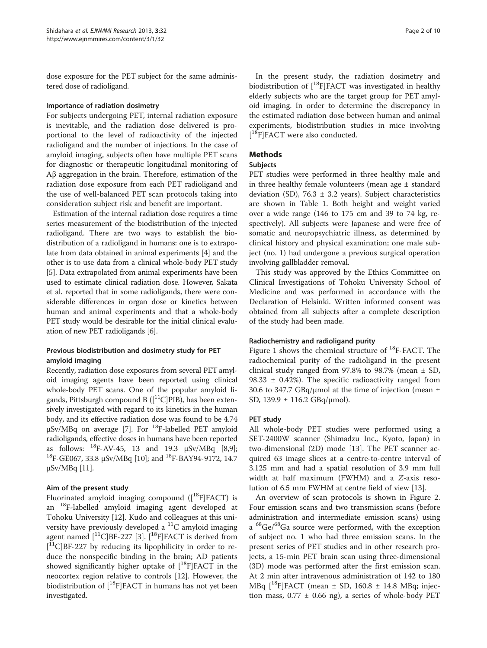dose exposure for the PET subject for the same administered dose of radioligand.

#### Importance of radiation dosimetry

For subjects undergoing PET, internal radiation exposure is inevitable, and the radiation dose delivered is proportional to the level of radioactivity of the injected radioligand and the number of injections. In the case of amyloid imaging, subjects often have multiple PET scans for diagnostic or therapeutic longitudinal monitoring of Aβ aggregation in the brain. Therefore, estimation of the radiation dose exposure from each PET radioligand and the use of well-balanced PET scan protocols taking into consideration subject risk and benefit are important.

Estimation of the internal radiation dose requires a time series measurement of the biodistribution of the injected radioligand. There are two ways to establish the biodistribution of a radioligand in humans: one is to extrapolate from data obtained in animal experiments [\[4](#page-8-0)] and the other is to use data from a clinical whole-body PET study [[5\]](#page-8-0). Data extrapolated from animal experiments have been used to estimate clinical radiation dose. However, Sakata et al. reported that in some radioligands, there were considerable differences in organ dose or kinetics between human and animal experiments and that a whole-body PET study would be desirable for the initial clinical evaluation of new PET radioligands [\[6\]](#page-8-0).

#### Previous biodistribution and dosimetry study for PET amyloid imaging

Recently, radiation dose exposures from several PET amyloid imaging agents have been reported using clinical whole-body PET scans. One of the popular amyloid ligands, Pittsburgh compound B ( $\left[\right]^{11}C$ ]PIB), has been extensively investigated with regard to its kinetics in the human body, and its effective radiation dose was found to be 4.74  $\mu$ Sv/MBq on average [[7](#page-8-0)]. For <sup>18</sup>F-labelled PET amyloid radioligands, effective doses in humans have been reported as follows:  $^{18}$  $^{18}$  $^{18}$ F-AV-45, 13 and 1[9](#page-9-0).3 μSv/MBq [8,9];  $^{18}$ F-GE067, 33.8 μSv/MBq [\[10](#page-9-0)]; and  $^{18}$ F-BAY94-9172, 14.7 μSv/MBq [\[11\]](#page-9-0).

#### Aim of the present study

Fluorinated amyloid imaging compound  $([{}^{18}F]FACT)$  is an 18F-labelled amyloid imaging agent developed at Tohoku University [[12](#page-9-0)]. Kudo and colleagues at this university have previously developed a  ${}^{11}C$  amyloid imaging agent named  $[$ <sup>11</sup>C]BF-227 [\[3](#page-8-0)].  $[$ <sup>18</sup>F]FACT is derived from [ 11C]BF-227 by reducing its lipophilicity in order to reduce the nonspecific binding in the brain; AD patients showed significantly higher uptake of  $[$ <sup>18</sup>F]FACT in the neocortex region relative to controls [[12\]](#page-9-0). However, the biodistribution of  $[$ <sup>18</sup>F]FACT in humans has not yet been investigated.

In the present study, the radiation dosimetry and biodistribution of  $\binom{18}{1}$ FACT was investigated in healthy elderly subjects who are the target group for PET amyloid imaging. In order to determine the discrepancy in the estimated radiation dose between human and animal experiments, biodistribution studies in mice involving [ 18F]FACT were also conducted.

#### Methods

#### Subjects

PET studies were performed in three healthy male and in three healthy female volunteers (mean age ± standard deviation (SD), 76.3  $\pm$  3.2 years). Subject characteristics are shown in Table [1](#page-2-0). Both height and weight varied over a wide range (146 to 175 cm and 39 to 74 kg, respectively). All subjects were Japanese and were free of somatic and neuropsychiatric illness, as determined by clinical history and physical examination; one male subject (no. 1) had undergone a previous surgical operation involving gallbladder removal.

This study was approved by the Ethics Committee on Clinical Investigations of Tohoku University School of Medicine and was performed in accordance with the Declaration of Helsinki. Written informed consent was obtained from all subjects after a complete description of the study had been made.

#### Radiochemistry and radioligand purity

Figure [1](#page-2-0) shows the chemical structure of <sup>18</sup>F-FACT. The radiochemical purity of the radioligand in the present clinical study ranged from 97.8% to 98.7% (mean  $\pm$  SD, 98.33  $\pm$  0.42%). The specific radioactivity ranged from 30.6 to 347.7 GBq/ $\mu$ mol at the time of injection (mean  $\pm$ SD, 139.9 ± 116.2 GBq/μmol).

#### PET study

All whole-body PET studies were performed using a SET-2400W scanner (Shimadzu Inc., Kyoto, Japan) in two-dimensional (2D) mode [\[13\]](#page-9-0). The PET scanner acquired 63 image slices at a centre-to-centre interval of 3.125 mm and had a spatial resolution of 3.9 mm full width at half maximum (FWHM) and a Z-axis resolution of 6.5 mm FWHM at centre field of view [[13](#page-9-0)].

An overview of scan protocols is shown in Figure [2](#page-3-0). Four emission scans and two transmission scans (before administration and intermediate emission scans) using a <sup>68</sup>Ge/<sup>68</sup>Ga source were performed, with the exception of subject no. 1 who had three emission scans. In the present series of PET studies and in other research projects, a 15-min PET brain scan using three-dimensional (3D) mode was performed after the first emission scan. At 2 min after intravenous administration of 142 to 180 MBq  $[$ <sup>18</sup>F]FACT (mean  $\pm$  SD, 160.8  $\pm$  14.8 MBq; injection mass,  $0.77 \pm 0.66$  ng), a series of whole-body PET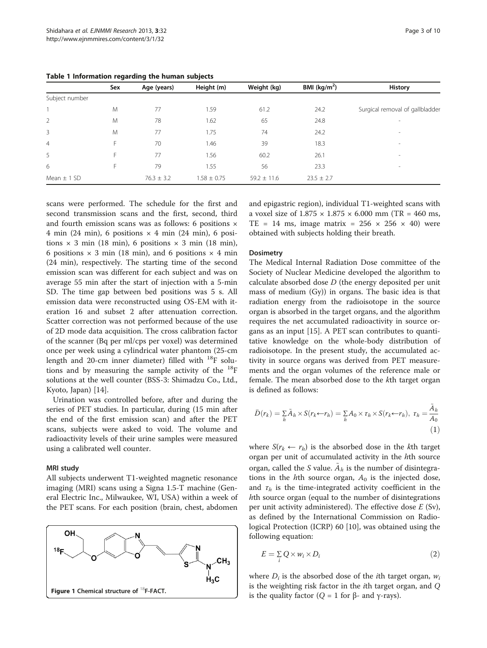|                 | Sex | Age (years)    | Height (m)      | Weight (kg)     | BMI ( $kg/m2$ ) | <b>History</b>                  |
|-----------------|-----|----------------|-----------------|-----------------|-----------------|---------------------------------|
| Subject number  |     |                |                 |                 |                 |                                 |
|                 | M   | 77             | 1.59            | 61.2            | 24.2            | Surgical removal of gallbladder |
| 2               | M   | 78             | 1.62            | 65              | 24.8            | -                               |
| $\overline{3}$  | M   | 77             | 1.75            | 74              | 24.2            | $\overline{\phantom{a}}$        |
| $\overline{4}$  | Ė   | 70             | 1.46            | 39              | 18.3            | $\overline{\phantom{a}}$        |
| 5               | F   | 77             | 1.56            | 60.2            | 26.1            | $\overline{\phantom{a}}$        |
| 6               | F   | 79             | 1.55            | 56              | 23.3            | $\overline{\phantom{a}}$        |
| Mean $\pm$ 1 SD |     | $76.3 \pm 3.2$ | $1.58 \pm 0.75$ | $59.2 \pm 11.6$ | $23.5 \pm 2.7$  |                                 |

<span id="page-2-0"></span>Table 1 Information regarding the human subjects

scans were performed. The schedule for the first and second transmission scans and the first, second, third and fourth emission scans was as follows: 6 positions × 4 min (24 min), 6 positions  $\times$  4 min (24 min), 6 positions  $\times$  3 min (18 min), 6 positions  $\times$  3 min (18 min), 6 positions  $\times$  3 min (18 min), and 6 positions  $\times$  4 min (24 min), respectively. The starting time of the second emission scan was different for each subject and was on average 55 min after the start of injection with a 5-min SD. The time gap between bed positions was 5 s. All emission data were reconstructed using OS-EM with iteration 16 and subset 2 after attenuation correction. Scatter correction was not performed because of the use of 2D mode data acquisition. The cross calibration factor of the scanner (Bq per ml/cps per voxel) was determined once per week using a cylindrical water phantom (25-cm length and 20-cm inner diameter) filled with  $^{18}$ F solutions and by measuring the sample activity of the  $^{18}$ F solutions at the well counter (BSS-3: Shimadzu Co., Ltd., Kyoto, Japan) [[14\]](#page-9-0).

Urination was controlled before, after and during the series of PET studies. In particular, during (15 min after the end of the first emission scan) and after the PET scans, subjects were asked to void. The volume and radioactivity levels of their urine samples were measured using a calibrated well counter.

#### MRI study

All subjects underwent T1-weighted magnetic resonance imaging (MRI) scans using a Signa 1.5-T machine (General Electric Inc., Milwaukee, WI, USA) within a week of the PET scans. For each position (brain, chest, abdomen



and epigastric region), individual T1-weighted scans with a voxel size of  $1.875 \times 1.875 \times 6.000$  mm (TR = 460 ms, TE = 14 ms, image matrix =  $256 \times 256 \times 40$ ) were obtained with subjects holding their breath.

#### **Dosimetry**

The Medical Internal Radiation Dose committee of the Society of Nuclear Medicine developed the algorithm to calculate absorbed dose  $D$  (the energy deposited per unit mass of medium (Gy)) in organs. The basic idea is that radiation energy from the radioisotope in the source organ is absorbed in the target organs, and the algorithm requires the net accumulated radioactivity in source organs as an input [[15](#page-9-0)]. A PET scan contributes to quantitative knowledge on the whole-body distribution of radioisotope. In the present study, the accumulated activity in source organs was derived from PET measurements and the organ volumes of the reference male or female. The mean absorbed dose to the kth target organ is defined as follows:

$$
\bar{D}(r_k) = \sum_{h} \tilde{A}_h \times S(r_k \leftarrow r_h) = \sum_{h} A_0 \times \tau_h \times S(r_k \leftarrow r_h), \ \tau_h = \frac{\tilde{A}_h}{A_0}
$$
\n(1)

where  $S(r_k \leftarrow r_h)$  is the absorbed dose in the kth target organ per unit of accumulated activity in the hth source organ, called the S value.  $A_h$  is the number of disintegrations in the  $h$ th source organ,  $A_0$  is the injected dose, and  $\tau_h$  is the time-integrated activity coefficient in the hth source organ (equal to the number of disintegrations per unit activity administered). The effective dose  $E(Sv)$ , as defined by the International Commission on Radiological Protection (ICRP) 60 [\[10](#page-9-0)], was obtained using the following equation:

$$
E = \sum_{i} Q \times w_i \times D_i \tag{2}
$$

where  $D_i$  is the absorbed dose of the *i*th target organ,  $w_i$ is the weighting risk factor in the ith target organ, and Q is the quality factor ( $Q = 1$  for β- and γ-rays).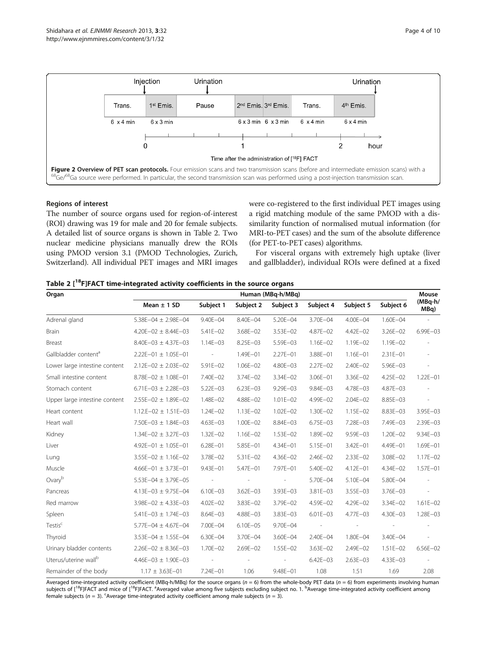<span id="page-3-0"></span>

#### Regions of interest

The number of source organs used for region-of-interest (ROI) drawing was 19 for male and 20 for female subjects. A detailed list of source organs is shown in Table 2. Two nuclear medicine physicians manually drew the ROIs using PMOD version 3.1 (PMOD Technologies, Zurich, Switzerland). All individual PET images and MRI images were co-registered to the first individual PET images using a rigid matching module of the same PMOD with a dissimilarity function of normalised mutual information (for MRI-to-PET cases) and the sum of the absolute difference (for PET-to-PET cases) algorithms.

For visceral organs with extremely high uptake (liver and gallbladder), individual ROIs were defined at a fixed

Table 2  $[18F]$ FACT time-integrated activity coefficients in the source organs

| Organ                            | Human (MBq-h/MBq)            |                          |              |                          |                          |                          |                          | Mouse                    |
|----------------------------------|------------------------------|--------------------------|--------------|--------------------------|--------------------------|--------------------------|--------------------------|--------------------------|
|                                  | Mean $\pm$ 1 SD              | Subject 1                | Subject 2    | Subject 3                | Subject 4                | Subject 5                | Subject 6                | (MBq-h/<br>MBq)          |
| Adrenal gland                    | $5.38E - 04 \pm 2.98E - 04$  | 9.40E-04                 | 8.40E-04     | 5.20E-04                 | 3.70E-04                 | 4.00E-04                 | $1.60E - 04$             |                          |
| <b>Brain</b>                     | $4.20E - 02 \pm 8.44E - 03$  | 5.41E-02                 | 3.68E-02     | 3.53E-02                 | 4.87E-02                 | 4.42E-02                 | $3.26E - 02$             | $6.99E - 03$             |
| Breast                           | $8.40E - 03 \pm 4.37E - 03$  | $1.14E - 03$             | 8.25E-03     | 5.59E-03                 | 1.16E-02                 | 1.19E-02                 | $1.19E - 02$             |                          |
| Gallbladder content <sup>a</sup> | $2.22E - 01 \pm 1.05E - 01$  | $\overline{\phantom{a}}$ | 1.49E-01     | $2.27E - 01$             | 3.88E-01                 | $1.16E - 01$             | $2.31E - 01$             | $\sim$                   |
| Lower large intestine content    | $2.12E - 02 \pm 2.03E - 02$  | $5.91E - 02$             | $1.06E - 02$ | $4.80E - 03$             | $2.27E - 02$             | $2.40E - 02$             | 5.96E-03                 | $\sim$                   |
| Small intestine content          | $8.78E - 02 \pm 1.08E - 01$  | 7.40E-02                 | 3.74E-02     | 3.34E-02                 | 3.06E-01                 | 3.36E-02                 | 4.25E-02                 | $1.22E - 01$             |
| Stomach content                  | 6.71E-03 $\pm$ 2.28E-03      | $5.22E - 03$             | $6.23E - 03$ | $9.29E - 03$             | 9.84E-03                 | $4.78E - 03$             | 4.87E-03                 |                          |
| Upper large intestine content    | $2.55E-02 \pm 1.89E-02$      | 1.48E-02                 | 4.88E-02     | $1.01E - 02$             | 4.99E-02                 | $2.04E - 02$             | 8.85E-03                 | $\overline{\phantom{a}}$ |
| Heart content                    | $1.12.E - 02 \pm 1.51E - 03$ | $1.24E - 02$             | $1.13E - 02$ | $1.02E - 02$             | 1.30E-02                 | 1.15E-02                 | 8.83E-03                 | 3.95E-03                 |
| Heart wall                       | 7.50E-03 $\pm$ 1.84E-03      | $4.63E - 03$             | $1.00E - 02$ | 8.84E-03                 | 6.75E-03                 | 7.28E-03                 | 7.49E-03                 | 2.39E-03                 |
| Kidney                           | $1.34E - 02 \pm 3.27E - 03$  | $1.32E - 02$             | $1.16E - 02$ | $1.53E - 02$             | 1.89E-02                 | 9.59E-03                 | $1.20E - 02$             | $9.34E - 03$             |
| Liver                            | $4.92E - 01 \pm 1.05E - 01$  | $6.28E - 01$             | 5.85E-01     | 4.34E-01                 | 5.15E-01                 | $3.42E - 01$             | 4.49E-01                 | $1.69E - 01$             |
| Lung                             | $3.55E-02 \pm 1.16E-02$      | 3.78E-02                 | 5.31E-02     | 4.36E-02                 | 2.46E-02                 | $2.33E - 02$             | 3.08E-02                 | $1.17E - 02$             |
| Muscle                           | $4.66E - 01 \pm 3.73E - 01$  | $9.43E - 01$             | 5.47E-01     | 7.97E-01                 | 5.40E-02                 | $4.12E - 01$             | 4.34E-02                 | $1.57E - 01$             |
| Ovaryb                           | $5.53E-04 \pm 3.79E-05$      |                          |              | $\overline{\phantom{a}}$ | 5.70E-04                 | 5.10E-04                 | 5.80E-04                 |                          |
| Pancreas                         | $4.13E - 03 \pm 9.75E - 04$  | $6.10E - 03$             | $3.62E - 03$ | 3.93E-03                 | 3.81E-03                 | 3.55E-03                 | 3.76E-03                 | $\overline{\phantom{a}}$ |
| Red marrow                       | $3.98E - 02 \pm 4.33E - 03$  | $4.02E - 02$             | 3.83E-02     | 3.79E-02                 | 4.59E-02                 | $4.29E - 02$             | 3.34E-02                 | $1.61E - 02$             |
| Spleen                           | $5.41E-03 \pm 1.74E-03$      | $8.64E - 03$             | 4.88E-03     | 3.83E-03                 | $6.01E - 03$             | 4.77E-03                 | 4.30E-03                 | 1.28E-03                 |
| Testis <sup>c</sup>              | $5.77E - 04 \pm 4.67E - 04$  | 7.00E-04                 | $6.10E - 05$ | 9.70E-04                 | $\overline{\phantom{a}}$ | $\overline{\phantom{a}}$ | $\overline{\phantom{a}}$ |                          |
| Thyroid                          | $3.53E-04 \pm 1.55E-04$      | $6.30E - 04$             | 3.70E-04     | 3.60E-04                 | 2.40E-04                 | 1.80E-04                 | 3.40E-04                 |                          |
| Urinary bladder contents         | $2.26E - 02 \pm 8.36E - 03$  | 1.70E-02                 | $2.69E - 02$ | 1.55E-02                 | $3.63E - 02$             | 2.49E-02                 | $1.51E - 02$             | $6.56E - 02$             |
| Uterus/uterine wall <sup>b</sup> | $4.46E - 03 \pm 1.90E - 03$  |                          |              |                          | $6.42E - 03$             | $2.63E - 03$             | 4.33E-03                 | $\overline{\phantom{a}}$ |
| Remainder of the body            | $1.17 \pm 3.63E - 01$        | $7.24E - 01$             | 1.06         | 9.48E-01                 | 1.08                     | 1.51                     | 1.69                     | 2.08                     |

Averaged time-integrated activity coefficient (MBq-h/MBq) for the source organs ( $n = 6$ ) from the whole-body PET data ( $n = 6$ ) from experiments involving human subjects of [<sup>18</sup>F]FACT and mice of [<sup>18</sup>F]FACT. <sup>a</sup>Averaged value among five subjects excluding subject no. 1. <sup>b</sup>Average time-integrated activity coefficient among female subjects ( $n = 3$ ). <sup>c</sup>Average time-integrated activity coefficient among male subjects ( $n = 3$ ).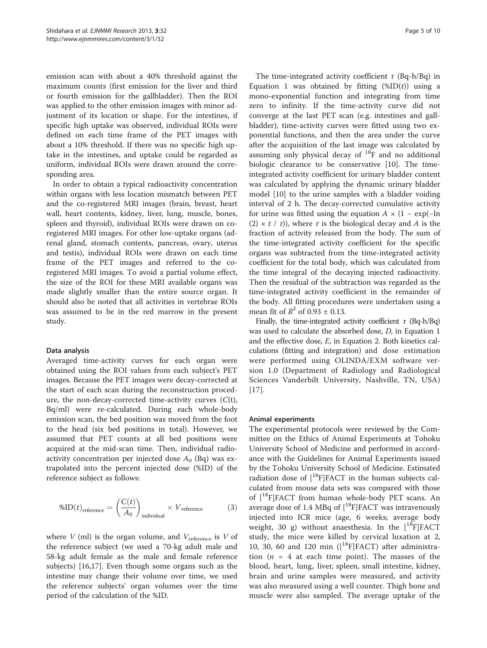emission scan with about a 40% threshold against the maximum counts (first emission for the liver and third or fourth emission for the gallbladder). Then the ROI was applied to the other emission images with minor adjustment of its location or shape. For the intestines, if specific high uptake was observed, individual ROIs were defined on each time frame of the PET images with about a 10% threshold. If there was no specific high uptake in the intestines, and uptake could be regarded as uniform, individual ROIs were drawn around the corresponding area.

In order to obtain a typical radioactivity concentration within organs with less location mismatch between PET and the co-registered MRI images (brain, breast, heart wall, heart contents, kidney, liver, lung, muscle, bones, spleen and thyroid), individual ROIs were drawn on coregistered MRI images. For other low-uptake organs (adrenal gland, stomach contents, pancreas, ovary, uterus and testis), individual ROIs were drawn on each time frame of the PET images and referred to the coregistered MRI images. To avoid a partial volume effect, the size of the ROI for these MRI available organs was made slightly smaller than the entire source organ. It should also be noted that all activities in vertebrae ROIs was assumed to be in the red marrow in the present study.

#### Data analysis

Averaged time-activity curves for each organ were obtained using the ROI values from each subject's PET images. Because the PET images were decay-corrected at the start of each scan during the reconstruction procedure, the non-decay-corrected time-activity curves  $(C(t),$ Bq/ml) were re-calculated. During each whole-body emission scan, the bed position was moved from the foot to the head (six bed positions in total). However, we assumed that PET counts at all bed positions were acquired at the mid-scan time. Then, individual radioactivity concentration per injected dose  $A_0$  (Bq) was extrapolated into the percent injected dose (%ID) of the reference subject as follows:

$$
\%ID(t)_{reference} = \left(\frac{C(t)}{A_0}\right)_{individual} \times V_{reference}
$$
 (3)

where  $V$  (ml) is the organ volume, and  $V_{\text{reference}}$  is  $V$  of the reference subject (we used a 70-kg adult male and 58-kg adult female as the male and female reference subjects) [\[16,17](#page-9-0)]. Even though some organs such as the intestine may change their volume over time, we used the reference subjects' organ volumes over the time period of the calculation of the %ID.

The time-integrated activity coefficient  $\tau$  (Bq-h/Bq) in Equation [1](#page-2-0) was obtained by fitting  $(\%ID(t))$  using a mono-exponential function and integrating from time zero to infinity. If the time-activity curve did not converge at the last PET scan (e.g. intestines and gallbladder), time-activity curves were fitted using two exponential functions, and then the area under the curve after the acquisition of the last image was calculated by assuming only physical decay of  $^{18}$ F and no additional biologic clearance to be conservative [\[10](#page-9-0)]. The timeintegrated activity coefficient for urinary bladder content was calculated by applying the dynamic urinary bladder model [\[10\]](#page-9-0) to the urine samples with a bladder voiding interval of 2 h. The decay-corrected cumulative activity for urine was fitted using the equation  $A \times (1 - \exp(-\ln \theta))$  $(2) \times t / \tau$ ), where  $\tau$  is the biological decay and A is the fraction of activity released from the body. The sum of the time-integrated activity coefficient for the specific organs was subtracted from the time-integrated activity coefficient for the total body, which was calculated from the time integral of the decaying injected radioactivity. Then the residual of the subtraction was regarded as the time-integrated activity coefficient in the remainder of the body. All fitting procedures were undertaken using a mean fit of  $R^2$  of 0.93  $\pm$  0.13.

Finally, the time-integrated activity coefficient  $\tau$  (Bq-h/Bq) was used to calculate the absorbed dose, D, in Equation [1](#page-2-0) and the effective dose, E, in Equation [2](#page-2-0). Both kinetics calculations (fitting and integration) and dose estimation were performed using OLINDA/EXM software version 1.0 (Department of Radiology and Radiological Sciences Vanderbilt University, Nashville, TN, USA) [[17](#page-9-0)].

#### Animal experiments

The experimental protocols were reviewed by the Committee on the Ethics of Animal Experiments at Tohoku University School of Medicine and performed in accordance with the Guidelines for Animal Experiments issued by the Tohoku University School of Medicine. Estimated radiation dose of  $[^{18}F]$ FACT in the human subjects calculated from mouse data sets was compared with those of [18F]FACT from human whole-body PET scans. An average dose of 1.4 MBq of  $[$ <sup>18</sup>F]FACT was intravenously injected into ICR mice (age, 6 weeks; average body weight, 30 g) without anaesthesia. In the [<sup>18</sup>F]FACT study, the mice were killed by cervical luxation at 2, 10, 30, 60 and 120 min  $([{}^{18}F]FACT)$  after administration ( $n = 4$  at each time point). The masses of the blood, heart, lung, liver, spleen, small intestine, kidney, brain and urine samples were measured, and activity was also measured using a well counter. Thigh bone and muscle were also sampled. The average uptake of the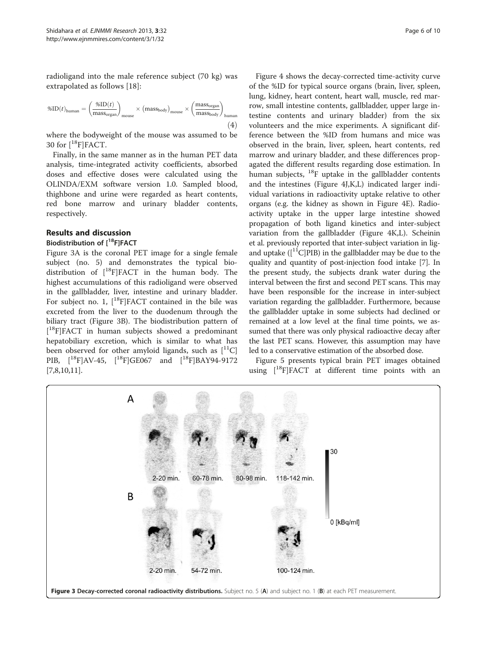<span id="page-5-0"></span>radioligand into the male reference subject (70 kg) was extrapolated as follows [\[18](#page-9-0)]:

$$
\% \text{ID}(t)_{\text{human}} = \left(\frac{\% \text{ID}(t)}{\text{mass}_{\text{organ}}}\right)_{\text{mouse}} \times \left(\text{mass}_{\text{body}}\right)_{\text{mouse}} \times \left(\frac{\text{mass}_{\text{organ}}}{\text{mass}_{\text{body}}}\right)_{\text{human}} \tag{4}
$$

where the bodyweight of the mouse was assumed to be 30 for  $[$ <sup>18</sup>F $]$ FACT.

Finally, in the same manner as in the human PET data analysis, time-integrated activity coefficients, absorbed doses and effective doses were calculated using the OLINDA/EXM software version 1.0. Sampled blood, thighbone and urine were regarded as heart contents, red bone marrow and urinary bladder contents, respectively.

#### Results and discussion

#### Biodistribution of [<sup>18</sup>F]FACT

Figure 3A is the coronal PET image for a single female subject (no. 5) and demonstrates the typical biodistribution of  $[$ <sup>18</sup>F]FACT in the human body. The highest accumulations of this radioligand were observed in the gallbladder, liver, intestine and urinary bladder. For subject no. 1,  $[$ <sup>18</sup>F $]$ FACT contained in the bile was excreted from the liver to the duodenum through the biliary tract (Figure 3B). The biodistribution pattern of [ 18F]FACT in human subjects showed a predominant hepatobiliary excretion, which is similar to what has been observed for other amyloid ligands, such as  $[$ <sup>11</sup>C $]$ PIB,  $[{}^{18}F]$ AV-45,  $[{}^{18}F]$ GE067 and  $[{}^{18}F]$ BAY94-9172 [[7,](#page-8-0)[8,10,11\]](#page-9-0).

Figure [4](#page-6-0) shows the decay-corrected time-activity curve of the %ID for typical source organs (brain, liver, spleen, lung, kidney, heart content, heart wall, muscle, red marrow, small intestine contents, gallbladder, upper large intestine contents and urinary bladder) from the six volunteers and the mice experiments. A significant difference between the %ID from humans and mice was observed in the brain, liver, spleen, heart contents, red marrow and urinary bladder, and these differences propagated the different results regarding dose estimation. In human subjects, <sup>18</sup>F uptake in the gallbladder contents and the intestines (Figure [4J](#page-6-0),K,L) indicated larger individual variations in radioactivity uptake relative to other organs (e.g. the kidney as shown in Figure [4](#page-6-0)E). Radioactivity uptake in the upper large intestine showed propagation of both ligand kinetics and inter-subject variation from the gallbladder (Figure [4K](#page-6-0),L). Scheinin et al. previously reported that inter-subject variation in ligand uptake ( $\left[\begin{smallmatrix}11\\1\end{smallmatrix}C\middle|PIB\right)$  in the gallbladder may be due to the quality and quantity of post-injection food intake [\[7\]](#page-8-0). In the present study, the subjects drank water during the interval between the first and second PET scans. This may have been responsible for the increase in inter-subject variation regarding the gallbladder. Furthermore, because the gallbladder uptake in some subjects had declined or remained at a low level at the final time points, we assumed that there was only physical radioactive decay after the last PET scans. However, this assumption may have led to a conservative estimation of the absorbed dose.

Figure [5](#page-6-0) presents typical brain PET images obtained using  $[{}^{18}F]FACT$  at different time points with an

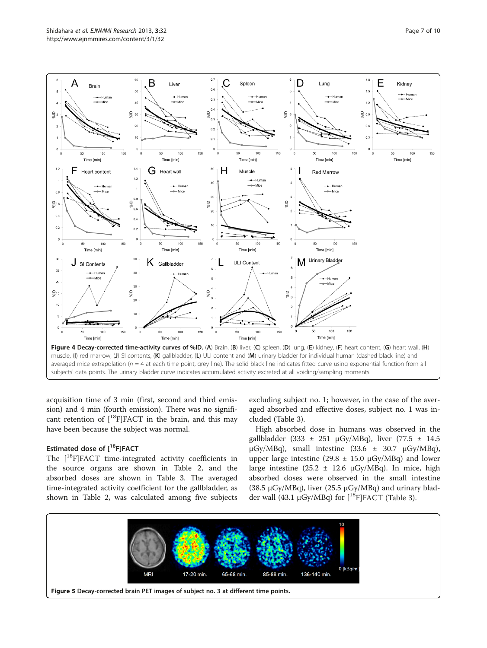<span id="page-6-0"></span>

acquisition time of 3 min (first, second and third emission) and 4 min (fourth emission). There was no significant retention of  $[{}^{18}F]$ FACT in the brain, and this may have been because the subject was normal.

#### Estimated dose of [<sup>18</sup>F]FACT

The [<sup>18</sup>F]FACT time-integrated activity coefficients in the source organs are shown in Table [2](#page-3-0), and the absorbed doses are shown in Table [3.](#page-7-0) The averaged time-integrated activity coefficient for the gallbladder, as shown in Table [2,](#page-3-0) was calculated among five subjects excluding subject no. 1; however, in the case of the averaged absorbed and effective doses, subject no. 1 was included (Table [3\)](#page-7-0).

High absorbed dose in humans was observed in the gallbladder (333 ± 251 μGy/MBq), liver (77.5 ± 14.5  $\mu$ Gy/MBq), small intestine (33.6  $\pm$  30.7  $\mu$ Gy/MBq), upper large intestine (29.8  $\pm$  15.0  $\mu$ Gy/MBq) and lower large intestine  $(25.2 \pm 12.6 \mu Gy/MBq)$ . In mice, high absorbed doses were observed in the small intestine (38.5  $\mu$ Gy/MBq), liver (25.5  $\mu$ Gy/MBq) and urinary bladder wall (43.1  $\mu$ Gy/MBq) for  $[^{18}F]$ FACT (Table [3\)](#page-7-0).

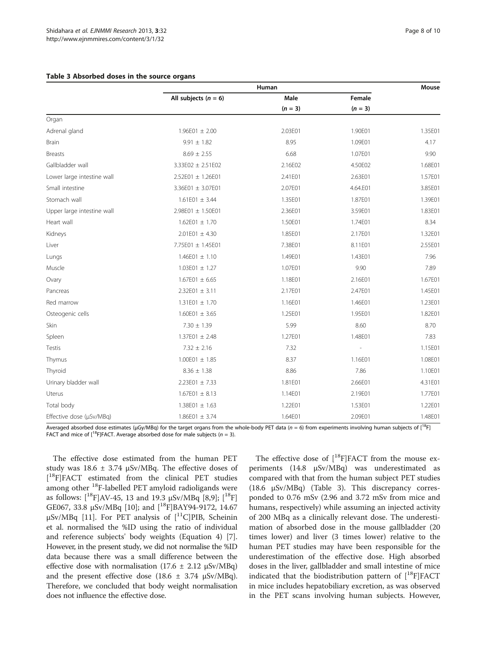#### <span id="page-7-0"></span>Table 3 Absorbed doses in the source organs

|                            | Human                  |           |           |         |  |
|----------------------------|------------------------|-----------|-----------|---------|--|
|                            | All subjects $(n = 6)$ | Male      | Female    |         |  |
|                            |                        | $(n = 3)$ | $(n = 3)$ |         |  |
| Organ                      |                        |           |           |         |  |
| Adrenal gland              | $1.96E01 \pm 2.00$     | 2.03E01   | 1.90E01   | 1.35E01 |  |
| Brain                      | $9.91 \pm 1.82$        | 8.95      | 1.09E01   | 4.17    |  |
| <b>Breasts</b>             | $8.69 \pm 2.55$        | 6.68      | 1.07E01   | 9.90    |  |
| Gallbladder wall           | 3.33E02 ± 2.51E02      | 2.16E02   | 4.50E02   | 1.68E01 |  |
| Lower large intestine wall | 2.52E01 ± 1.26E01      | 2.41E01   | 2.63E01   | 1.57E01 |  |
| Small intestine            | 3.36E01 ± 3.07E01      | 2.07E01   | 4.64.E01  | 3.85E01 |  |
| Stomach wall               | $1.61E01 \pm 3.44$     | 1.35E01   | 1.87E01   | 1.39E01 |  |
| Upper large intestine wall | 2.98E01 ± 1.50E01      | 2.36E01   | 3.59E01   | 1.83E01 |  |
| Heart wall                 | $1.62E01 \pm 1.70$     | 1.50E01   | 1.74E01   | 8.34    |  |
| Kidneys                    | $2.01E01 \pm 4.30$     | 1.85E01   | 2.17E01   | 1.32E01 |  |
| Liver                      | 7.75E01 ± 1.45E01      | 7.38E01   | 8.11E01   | 2.55E01 |  |
| Lungs                      | $1.46E01 \pm 1.10$     | 1.49E01   | 1.43E01   | 7.96    |  |
| Muscle                     | $1.03E01 \pm 1.27$     | 1.07E01   | 9.90      | 7.89    |  |
| Ovary                      | $1.67E01 \pm 6.65$     | 1.18E01   | 2.16E01   | 1.67E01 |  |
| Pancreas                   | $2.32E01 \pm 3.11$     | 2.17E01   | 2.47E01   | 1.45E01 |  |
| Red marrow                 | $1.31E01 \pm 1.70$     | 1.16E01   | 1.46E01   | 1.23E01 |  |
| Osteogenic cells           | $1.60E01 \pm 3.65$     | 1.25E01   | 1.95E01   | 1.82E01 |  |
| Skin                       | $7.30 \pm 1.39$        | 5.99      | 8.60      | 8.70    |  |
| Spleen                     | $1.37E01 \pm 2.48$     | 1.27E01   | 1.48E01   | 7.83    |  |
| Testis                     | $7.32 \pm 2.16$        | 7.32      |           | 1.15E01 |  |
| Thymus                     | $1.00E01 \pm 1.85$     | 8.37      | 1.16E01   | 1.08E01 |  |
| Thyroid                    | $8.36 \pm 1.38$        | 8.86      | 7.86      | 1.10E01 |  |
| Urinary bladder wall       | $2.23E01 \pm 7.33$     | 1.81E01   | 2.66E01   | 4.31E01 |  |
| Uterus                     | $1.67E01 \pm 8.13$     | 1.14E01   | 2.19E01   | 1.77E01 |  |
| Total body                 | $1.38E01 \pm 1.63$     | 1.22E01   | 1.53E01   | 1.22E01 |  |
| Effective dose (µSv/MBq)   | $1.86E01 \pm 3.74$     | 1.64E01   | 2.09E01   | 1.48E01 |  |

Averaged absorbed dose estimates (µGy/MBq) for the target organs from the whole-body PET data (n = 6) from experiments involving human subjects of [<sup>18</sup>F] FACT and mice of  $[18F]$ FACT. Average absorbed dose for male subjects (n = 3).

The effective dose estimated from the human PET study was  $18.6 \pm 3.74$   $\mu$ Sv/MBq. The effective doses of [ 18F]FACT estimated from the clinical PET studies among other 18F-labelled PET amyloid radioligands were as follows:  $\binom{18}{1}$ AV-45, 13 and 19.3  $\mu$ Sv/MBq [[8,9\]](#page-9-0);  $\binom{18}{1}$ GE067, 33.8 μSv/MBq [\[10](#page-9-0)]; and [18F]BAY94-9172, 14.67 μSv/MBq [\[11](#page-9-0)]. For PET analysis of  $[$ <sup>11</sup>C]PIB, Scheinin et al. normalised the %ID using the ratio of individual and reference subjects' body weights (Equation [4\)](#page-5-0) [\[7](#page-8-0)]. However, in the present study, we did not normalise the %ID data because there was a small difference between the effective dose with normalisation (17.6  $\pm$  2.12  $\mu$ Sv/MBq) and the present effective dose  $(18.6 \pm 3.74 \mu\text{Sv}/\text{MBq})$ . Therefore, we concluded that body weight normalisation does not influence the effective dose.

The effective dose of  $[$ <sup>18</sup>F]FACT from the mouse experiments (14.8 μSv/MBq) was underestimated as compared with that from the human subject PET studies (18.6 μSv/MBq) (Table 3). This discrepancy corresponded to 0.76 mSv (2.96 and 3.72 mSv from mice and humans, respectively) while assuming an injected activity of 200 MBq as a clinically relevant dose. The underestimation of absorbed dose in the mouse gallbladder (20 times lower) and liver (3 times lower) relative to the human PET studies may have been responsible for the underestimation of the effective dose. High absorbed doses in the liver, gallbladder and small intestine of mice indicated that the biodistribution pattern of  $[$ <sup>18</sup>F $]$ FACT in mice includes hepatobiliary excretion, as was observed in the PET scans involving human subjects. However,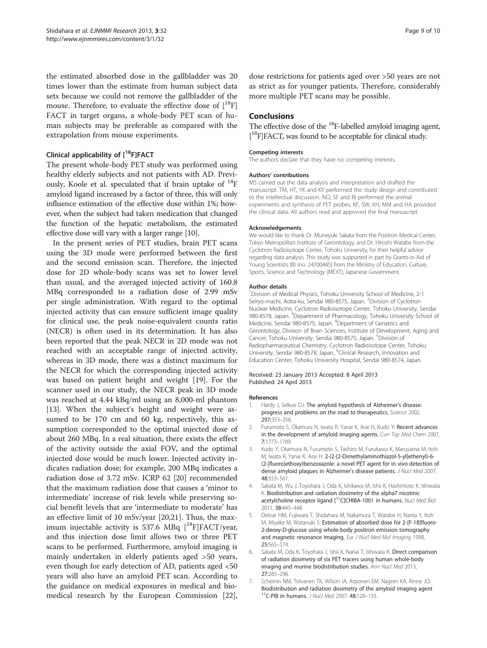<span id="page-8-0"></span>the estimated absorbed dose in the gallbladder was 20 times lower than the estimate from human subject data sets because we could not remove the gallbladder of the mouse. Therefore, to evaluate the effective dose of  $[$ <sup>18</sup>F $]$ FACT in target organs, a whole-body PET scan of human subjects may be preferable as compared with the extrapolation from mouse experiments.

#### Clinical applicability of [18F]FACT

The present whole-body PET study was performed using healthy elderly subjects and not patients with AD. Previously, Koole et al. speculated that if brain uptake of  $^{18}$ F amyloid ligand increased by a factor of three, this will only influence estimation of the effective dose within 1%; however, when the subject had taken medication that changed the function of the hepatic metabolism, the estimated effective dose will vary with a larger range [\[10\]](#page-9-0).

In the present series of PET studies, brain PET scans using the 3D mode were performed between the first and the second emission scan. Therefore, the injected dose for 2D whole-body scans was set to lower level than usual, and the averaged injected activity of 160.8 MBq corresponded to a radiation dose of 2.99 mSv per single administration. With regard to the optimal injected activity that can ensure sufficient image quality for clinical use, the peak noise-equivalent counts ratio (NECR) is often used in its determination. It has also been reported that the peak NECR in 2D mode was not reached with an acceptable range of injected activity, whereas in 3D mode, there was a distinct maximum for the NECR for which the corresponding injected activity was based on patient height and weight [[19\]](#page-9-0). For the scanner used in our study, the NECR peak in 3D mode was reached at 4.44 kBq/ml using an 8,000-ml phantom [[13\]](#page-9-0). When the subject's height and weight were assumed to be 170 cm and 60 kg, respectively, this assumption corresponded to the optimal injected dose of about 260 MBq. In a real situation, there exists the effect of the activity outside the axial FOV, and the optimal injected dose would be much lower. Injected activity indicates radiation dose; for example, 200 MBq indicates a radiation dose of 3.72 mSv. ICRP 62 [\[20](#page-9-0)] recommended that the maximum radiation dose that causes a 'minor to intermediate' increase of risk levels while preserving social benefit levels that are 'intermediate to moderate' has an effective limit of 10 mSv/year [[20,21\]](#page-9-0). Thus, the maximum injectable activity is 537.6 MBq  $[$ <sup>18</sup>F]FACT/year, and this injection dose limit allows two or three PET scans to be performed. Furthermore, amyloid imaging is mainly undertaken in elderly patients aged >50 years, even though for early detection of AD, patients aged <50 years will also have an amyloid PET scan. According to the guidance on medical exposures in medical and biomedical research by the European Commission [\[22](#page-9-0)], dose restrictions for patients aged over >50 years are not as strict as for younger patients. Therefore, considerably more multiple PET scans may be possible.

#### **Conclusions**

The effective dose of the  $^{18}$ F-labelled amyloid imaging agent, [ 18F]FACT, was found to be acceptable for clinical study.

#### Competing interests

The authors declare that they have no competing interests.

#### Authors' contributions

MS carried out the data analysis and interpretation and drafted the manuscript. TM, HT, YK and KY performed the study design and contributed to the intellectual discussion. NO, SF and RI performed the animal experiments and synthesis of PET probes. KF, SW, KH, MM and HA provided the clinical data. All authors read and approved the final manuscript.

#### Acknowledgements

We would like to thank Dr. Muneyuki Sakata from the Positron Medical Center, Tokyo Metropolitan Institute of Gerontology, and Dr. Hiroshi Watabe from the Cyclotron Radioisotope Center, Tohoku University, for their helpful advice regarding data analysis. This study was supported in part by Grants-in-Aid of Young Scientists (B) (no. 24700445) from the Ministry of Education, Culture, Sports, Science and Technology (MEXT), Japanese Government.

#### Author details

<sup>1</sup> Division of Medical Physics, Tohoku University School of Medicine, 2-1 Seiryo-machi, Aoba-ku, Sendai 980-8575, Japan. <sup>2</sup>Division of Cyclotron Nuclear Medicine, Cyclotron Radioisotope Center, Tohoku University, Sendai 980-8578, Japan. <sup>3</sup> Department of Pharmacology, Tohoku University School of Medicine, Sendai 980-8575, Japan. <sup>4</sup>Department of Geriatrics and Gerontology, Division of Brain Sciences, Institute of Development, Aging and Cancer, Tohoku University, Sendai 980-8575, Japan. <sup>5</sup>Division of Radiopharmaceutical Chemistry, Cyclotron Radioisotope Center, Tohoku University, Sendai 980-8578, Japan. <sup>6</sup>Clinical Research, Innovation and Education Center, Tohoku University Hospital, Sendai 980-8574, Japan.

#### Received: 23 January 2013 Accepted: 8 April 2013 Published: 24 April 2013

#### References

- 1. Hardy J, Selkoe DJ: The amyloid hypothesis of Alzheimer's disease: progress and problems on the road to therapeutics. Science 2002, 297:353–356.
- 2. Furumoto S, Okamura N, Iwata R, Yanai K, Arai H, Kudo Y: Recent advances in the development of amyloid imaging agents. Curr Top Med Chem 2007, 7:1773–1789.
- 3. Kudo Y, Okamura N, Furumoto S, Tashiro M, Furukawa K, Maruyama M, Itoh M, Iwata R, Yanai K, Arai H: 2-(2-[2-Dimethylaminothiazol-5-yl]ethenyl)-6- (2-[fluoro]ethoxy)benzoxazole: a novel PET agent for in vivo detection of dense amyloid plaques in Alzheimer's disease patients. J Nucl Med 2007, 48:553–561.
- 4. Sakata M, Wu J, Toyohara J, Oda K, Ishikawa M, Ishii K, Hashimoto K, Ishiwata K: Biodistribution and radiation dosimetry of the alpha7 nicotinic acetylcholine receptor ligand [<sup>11</sup>C]CHIBA-1001 in humans. Nucl Med Biol 2011, 38:443–448.
- 5. Deloar HM, Fujiwara T, Shidahara M, Nakamura T, Watabe H, Narita Y, Itoh M, Miyake M, Watanuki S: Estimation of absorbed dose for 2-[F-18]fluoro-2-deoxy-D-glucose using whole-body positron emission tomography and magnetic resonance imaging. Eur J Nucl Med Mol Imaging 1998, 25:565–574.
- Sakata M, Oda K, Toyohara J, Ishii K, Nariai T, Ishiwata K: Direct comparison of radiation dosimetry of six PET tracers using human whole-body imaging and murine biodistribution studies. Ann Nucl Med 2013, 27:285–296.
- 7. Scheinin NM, Tolvanen TK, Wilson IA, Arponen EM, Nagren KA, Rinne JO: Biodistribution and radiation dosimetry of the amyloid imaging agent 11 C-PIB in humans. J Nucl Med 2007, 48:128-133.